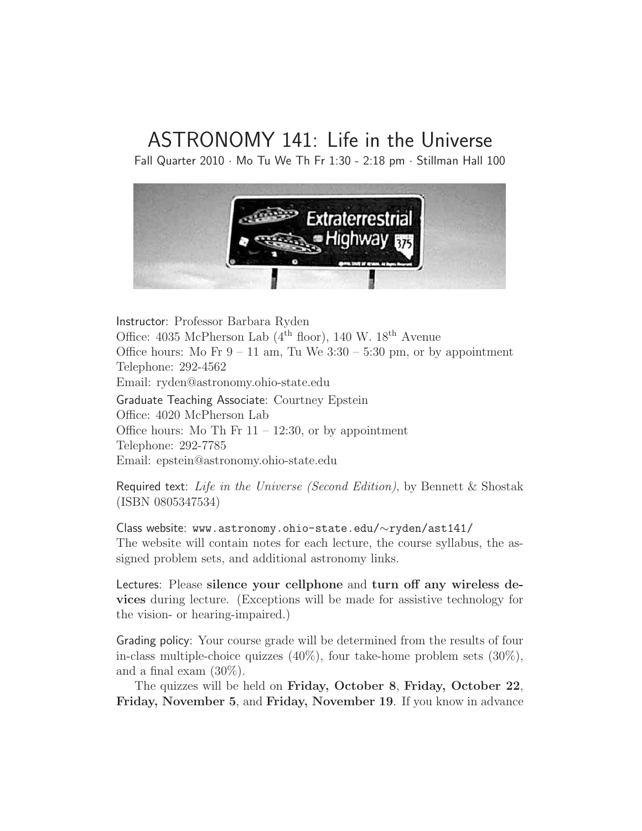# ASTRONOMY 141: Life in the Universe

Fall Quarter 2010  $\cdot$  Mo Tu We Th Fr 1:30 - 2:18 pm  $\cdot$  Stillman Hall 100



Instructor: Professor Barbara Ryden Office: 4035 McPherson Lab ( $4^{\text{th}}$  floor), 140 W.  $18^{\text{th}}$  Avenue Office hours: Mo Fr  $9 - 11$  am, Tu We  $3:30 - 5:30$  pm, or by appointment Telephone: 292-4562 Email: ryden@astronomy.ohio-state.edu

Graduate Teaching Associate: Courtney Epstein Office: 4020 McPherson Lab Office hours: Mo Th Fr  $11 - 12:30$ , or by appointment Telephone: 292-7785 Email: epstein@astronomy.ohio-state.edu

Required text: Life in the Universe (Second Edition), by Bennett & Shostak (ISBN 0805347534)

Class website: www.astronomy.ohio-state.edu/∼ryden/ast141/ The website will contain notes for each lecture, the course syllabus, the assigned problem sets, and additional astronomy links.

Lectures: Please silence your cellphone and turn off any wireless devices during lecture. (Exceptions will be made for assistive technology for the vision- or hearing-impaired.)

Grading policy: Your course grade will be determined from the results of four in-class multiple-choice quizzes (40%), four take-home problem sets (30%), and a final exam (30%).

The quizzes will be held on Friday, October 8, Friday, October 22, Friday, November 5, and Friday, November 19. If you know in advance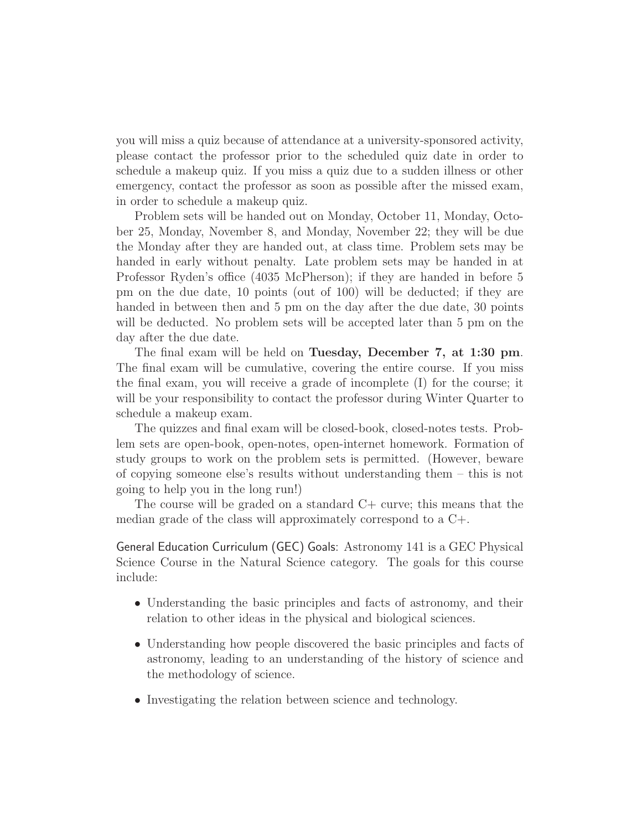you will miss a quiz because of attendance at a university-sponsored activity, please contact the professor prior to the scheduled quiz date in order to schedule a makeup quiz. If you miss a quiz due to a sudden illness or other emergency, contact the professor as soon as possible after the missed exam, in order to schedule a makeup quiz.

Problem sets will be handed out on Monday, October 11, Monday, October 25, Monday, November 8, and Monday, November 22; they will be due the Monday after they are handed out, at class time. Problem sets may be handed in early without penalty. Late problem sets may be handed in at Professor Ryden's office (4035 McPherson); if they are handed in before 5 pm on the due date, 10 points (out of 100) will be deducted; if they are handed in between then and 5 pm on the day after the due date, 30 points will be deducted. No problem sets will be accepted later than 5 pm on the day after the due date.

The final exam will be held on Tuesday, December 7, at 1:30 pm. The final exam will be cumulative, covering the entire course. If you miss the final exam, you will receive a grade of incomplete (I) for the course; it will be your responsibility to contact the professor during Winter Quarter to schedule a makeup exam.

The quizzes and final exam will be closed-book, closed-notes tests. Problem sets are open-book, open-notes, open-internet homework. Formation of study groups to work on the problem sets is permitted. (However, beware of copying someone else's results without understanding them – this is not going to help you in the long run!)

The course will be graded on a standard C+ curve; this means that the median grade of the class will approximately correspond to a C+.

General Education Curriculum (GEC) Goals: Astronomy 141 is a GEC Physical Science Course in the Natural Science category. The goals for this course include:

- Understanding the basic principles and facts of astronomy, and their relation to other ideas in the physical and biological sciences.
- Understanding how people discovered the basic principles and facts of astronomy, leading to an understanding of the history of science and the methodology of science.
- Investigating the relation between science and technology.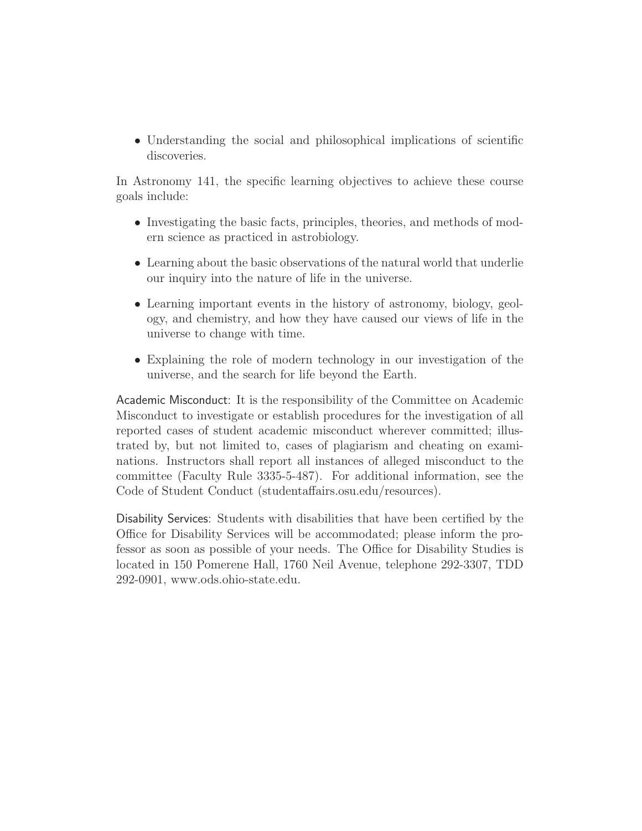• Understanding the social and philosophical implications of scientific discoveries.

In Astronomy 141, the specific learning objectives to achieve these course goals include:

- Investigating the basic facts, principles, theories, and methods of modern science as practiced in astrobiology.
- Learning about the basic observations of the natural world that underlie our inquiry into the nature of life in the universe.
- Learning important events in the history of astronomy, biology, geology, and chemistry, and how they have caused our views of life in the universe to change with time.
- Explaining the role of modern technology in our investigation of the universe, and the search for life beyond the Earth.

Academic Misconduct: It is the responsibility of the Committee on Academic Misconduct to investigate or establish procedures for the investigation of all reported cases of student academic misconduct wherever committed; illustrated by, but not limited to, cases of plagiarism and cheating on examinations. Instructors shall report all instances of alleged misconduct to the committee (Faculty Rule 3335-5-487). For additional information, see the Code of Student Conduct (studentaffairs.osu.edu/resources).

Disability Services: Students with disabilities that have been certified by the Office for Disability Services will be accommodated; please inform the professor as soon as possible of your needs. The Office for Disability Studies is located in 150 Pomerene Hall, 1760 Neil Avenue, telephone 292-3307, TDD 292-0901, www.ods.ohio-state.edu.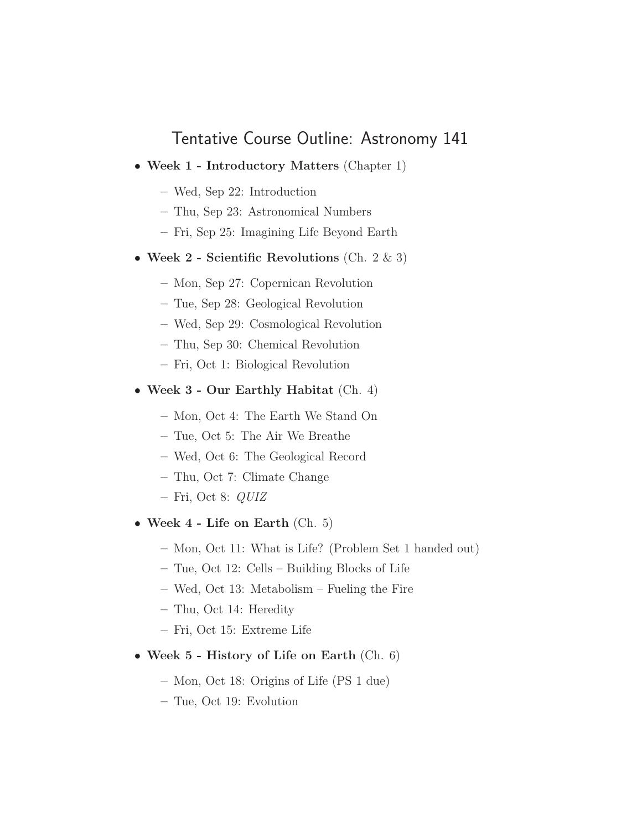## Tentative Course Outline: Astronomy 141

- Week 1 Introductory Matters (Chapter 1)
	- Wed, Sep 22: Introduction
	- Thu, Sep 23: Astronomical Numbers
	- Fri, Sep 25: Imagining Life Beyond Earth
- Week 2 Scientific Revolutions (Ch.  $2 \& 3$ )
	- Mon, Sep 27: Copernican Revolution
	- Tue, Sep 28: Geological Revolution
	- Wed, Sep 29: Cosmological Revolution
	- Thu, Sep 30: Chemical Revolution
	- Fri, Oct 1: Biological Revolution
- Week 3 Our Earthly Habitat (Ch. 4)
	- Mon, Oct 4: The Earth We Stand On
	- Tue, Oct 5: The Air We Breathe
	- Wed, Oct 6: The Geological Record
	- Thu, Oct 7: Climate Change
	- $-$  Fri, Oct 8:  $QUIZ$
- Week  $4$  Life on Earth (Ch. 5)
	- Mon, Oct 11: What is Life? (Problem Set 1 handed out)
	- Tue, Oct 12: Cells Building Blocks of Life
	- Wed, Oct 13: Metabolism Fueling the Fire
	- Thu, Oct 14: Heredity
	- Fri, Oct 15: Extreme Life
- Week 5 History of Life on Earth (Ch. 6)
	- Mon, Oct 18: Origins of Life (PS 1 due)
	- Tue, Oct 19: Evolution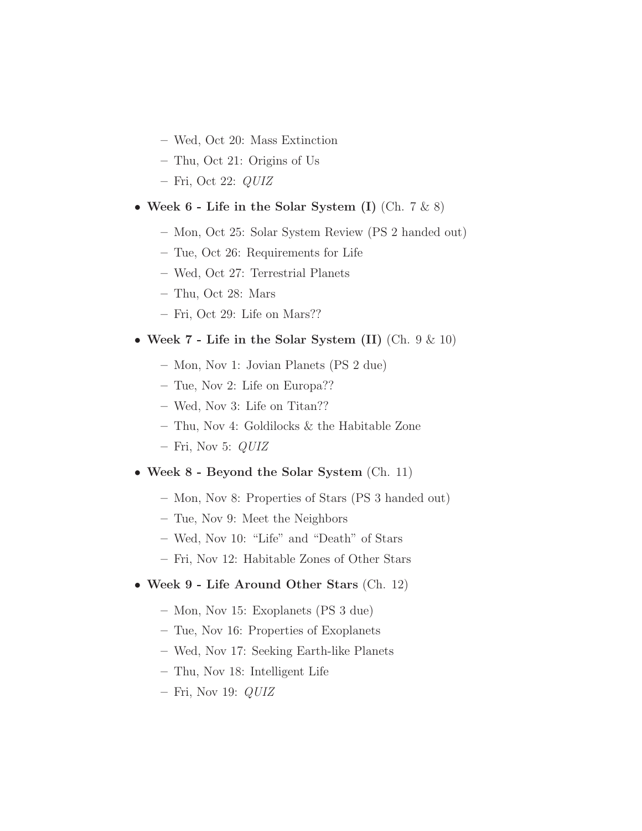- Wed, Oct 20: Mass Extinction
- Thu, Oct 21: Origins of Us
- $-$  Fri, Oct 22:  $QUIZ$
- Week  $6$  Life in the Solar System (I) (Ch.  $7 \& 8$ )
	- Mon, Oct 25: Solar System Review (PS 2 handed out)
	- Tue, Oct 26: Requirements for Life
	- Wed, Oct 27: Terrestrial Planets
	- Thu, Oct 28: Mars
	- Fri, Oct 29: Life on Mars??
- Week 7 Life in the Solar System (II) (Ch. 9 & 10)
	- Mon, Nov 1: Jovian Planets (PS 2 due)
	- Tue, Nov 2: Life on Europa??
	- Wed, Nov 3: Life on Titan??
	- Thu, Nov 4: Goldilocks & the Habitable Zone
	- Fri, Nov 5:  $QUIZ$

#### • Week 8 - Beyond the Solar System (Ch. 11)

- Mon, Nov 8: Properties of Stars (PS 3 handed out)
- Tue, Nov 9: Meet the Neighbors
- Wed, Nov 10: "Life" and "Death" of Stars
- Fri, Nov 12: Habitable Zones of Other Stars

#### • Week 9 - Life Around Other Stars (Ch. 12)

- Mon, Nov 15: Exoplanets (PS 3 due)
- Tue, Nov 16: Properties of Exoplanets
- Wed, Nov 17: Seeking Earth-like Planets
- Thu, Nov 18: Intelligent Life
- $-$  Fri, Nov 19:  $QUIZ$